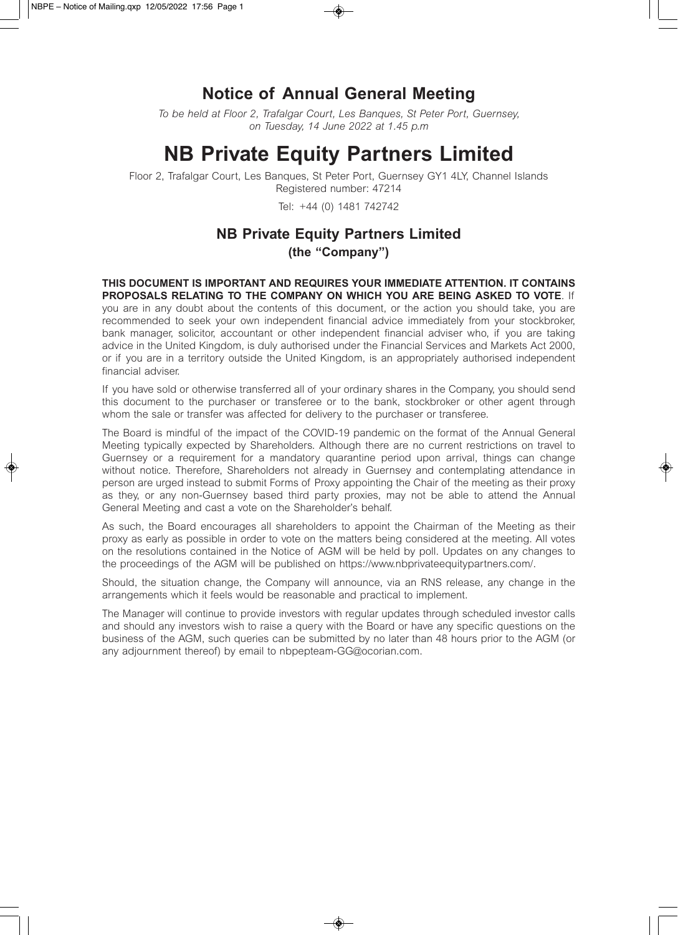## **Notice of Annual General Meeting**

*To be held at Floor 2, Trafalgar Court, Les Banques, St Peter Port, Guernsey, on Tuesday, 14 June 2022 at 1.45 p.m* 

# **NB Private Equity Partners Limited**

Floor 2, Trafalgar Court, Les Banques, St Peter Port, Guernsey GY1 4LY, Channel Islands Registered number: 47214

Tel: +44 (0) 1481 742742

## **NB Private Equity Partners Limited (the "Company")**

**THIS DOCUMENT IS IMPORTANT AND REQUIRES YOUR IMMEDIATE ATTENTION. IT CONTAINS PROPOSALS RELATING TO THE COMPANY ON WHICH YOU ARE BEING ASKED TO VOTE**. If you are in any doubt about the contents of this document, or the action you should take, you are recommended to seek your own independent financial advice immediately from your stockbroker, bank manager, solicitor, accountant or other independent financial adviser who, if you are taking advice in the United Kingdom, is duly authorised under the Financial Services and Markets Act 2000, or if you are in a territory outside the United Kingdom, is an appropriately authorised independent financial adviser.

If you have sold or otherwise transferred all of your ordinary shares in the Company, you should send this document to the purchaser or transferee or to the bank, stockbroker or other agent through whom the sale or transfer was affected for delivery to the purchaser or transferee.

The Board is mindful of the impact of the COVID-19 pandemic on the format of the Annual General Meeting typically expected by Shareholders. Although there are no current restrictions on travel to Guernsey or a requirement for a mandatory quarantine period upon arrival, things can change without notice. Therefore, Shareholders not already in Guernsey and contemplating attendance in person are urged instead to submit Forms of Proxy appointing the Chair of the meeting as their proxy as they, or any non-Guernsey based third party proxies, may not be able to attend the Annual General Meeting and cast a vote on the Shareholder's behalf.

As such, the Board encourages all shareholders to appoint the Chairman of the Meeting as their proxy as early as possible in order to vote on the matters being considered at the meeting. All votes on the resolutions contained in the Notice of AGM will be held by poll. Updates on any changes to the proceedings of the AGM will be published on https://www.nbprivateequitypartners.com/.

Should, the situation change, the Company will announce, via an RNS release, any change in the arrangements which it feels would be reasonable and practical to implement.

The Manager will continue to provide investors with regular updates through scheduled investor calls and should any investors wish to raise a query with the Board or have any specific questions on the business of the AGM, such queries can be submitted by no later than 48 hours prior to the AGM (or any adjournment thereof) by email to nbpepteam-GG@ocorian.com.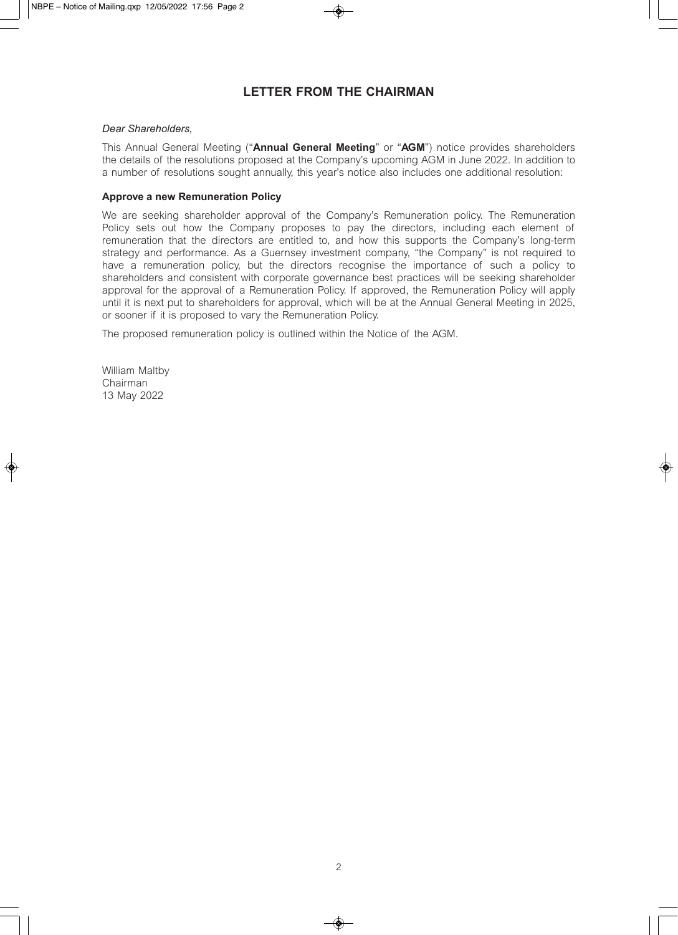### **LETTER FROM THE CHAIRMAN**

#### *Dear Shareholders,*

This Annual General Meeting ("**Annual General Meeting**" or "**AGM**") notice provides shareholders the details of the resolutions proposed at the Company's upcoming AGM in June 2022. In addition to a number of resolutions sought annually, this year's notice also includes one additional resolution:

#### **Approve a new Remuneration Policy**

We are seeking shareholder approval of the Company's Remuneration policy. The Remuneration Policy sets out how the Company proposes to pay the directors, including each element of remuneration that the directors are entitled to, and how this supports the Company's long-term strategy and performance. As a Guernsey investment company, "the Company" is not required to have a remuneration policy, but the directors recognise the importance of such a policy to shareholders and consistent with corporate governance best practices will be seeking shareholder approval for the approval of a Remuneration Policy. If approved, the Remuneration Policy will apply until it is next put to shareholders for approval, which will be at the Annual General Meeting in 2025, or sooner if it is proposed to vary the Remuneration Policy.

The proposed remuneration policy is outlined within the Notice of the AGM.

William Maltby Chairman 13 May 2022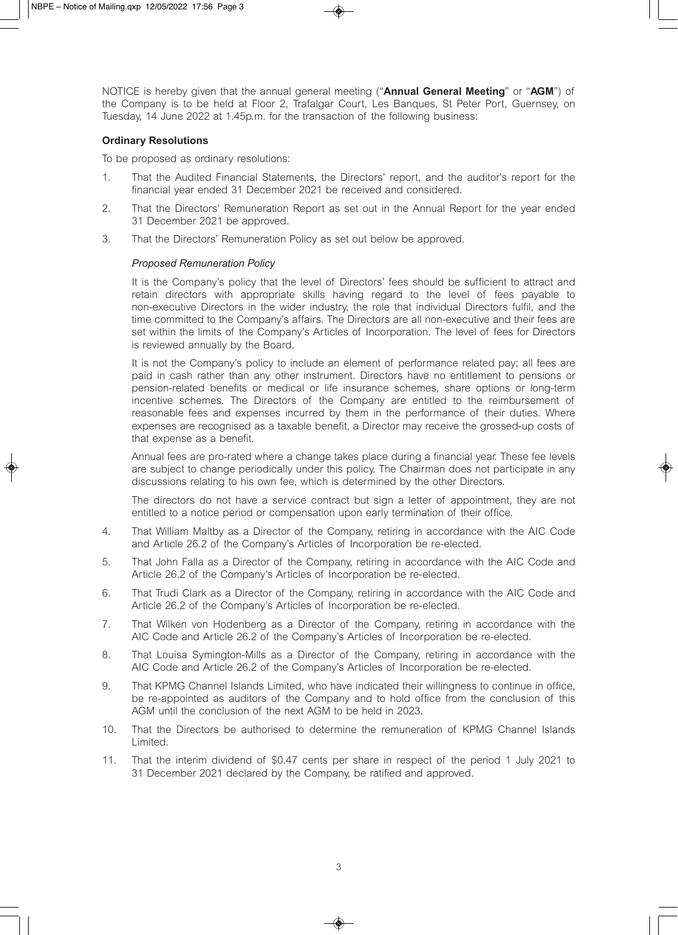NOTICE is hereby given that the annual general meeting ("**Annual General Meeting**" or "**AGM**") of the Company is to be held at Floor 2, Trafalgar Court, Les Banques, St Peter Port, Guernsey, on Tuesday, 14 June 2022 at 1.45p.m. for the transaction of the following business:

#### **Ordinary Resolutions**

To be proposed as ordinary resolutions:

- 1. That the Audited Financial Statements, the Directors' report, and the auditor's report for the financial year ended 31 December 2021 be received and considered.
- 2. That the Directors' Remuneration Report as set out in the Annual Report for the year ended 31 December 2021 be approved.
- 3. That the Directors' Remuneration Policy as set out below be approved.

#### *Proposed Remuneration Policy*

It is the Company's policy that the level of Directors' fees should be sufficient to attract and retain directors with appropriate skills having regard to the level of fees payable to non-executive Directors in the wider industry, the role that individual Directors fulfil, and the time committed to the Company's affairs. The Directors are all non-executive and their fees are set within the limits of the Company's Articles of Incorporation. The level of fees for Directors is reviewed annually by the Board.

It is not the Company's policy to include an element of performance related pay; all fees are paid in cash rather than any other instrument. Directors have no entitlement to pensions or pension-related benefits or medical or life insurance schemes, share options or long-term incentive schemes. The Directors of the Company are entitled to the reimbursement of reasonable fees and expenses incurred by them in the performance of their duties. Where expenses are recognised as a taxable benefit, a Director may receive the grossed-up costs of that expense as a benefit.

Annual fees are pro-rated where a change takes place during a financial year. These fee levels are subject to change periodically under this policy. The Chairman does not participate in any discussions relating to his own fee, which is determined by the other Directors.

The directors do not have a service contract but sign a letter of appointment, they are not entitled to a notice period or compensation upon early termination of their office.

- 4. That William Maltby as a Director of the Company, retiring in accordance with the AIC Code and Article 26.2 of the Company's Articles of Incorporation be re-elected.
- 5. That John Falla as a Director of the Company, retiring in accordance with the AIC Code and Article 26.2 of the Company's Articles of Incorporation be re-elected.
- 6. That Trudi Clark as a Director of the Company, retiring in accordance with the AIC Code and Article 26.2 of the Company's Articles of Incorporation be re-elected.
- 7. That Wilken von Hodenberg as a Director of the Company, retiring in accordance with the AIC Code and Article 26.2 of the Company's Articles of Incorporation be re-elected.
- 8. That Louisa Symington-Mills as a Director of the Company, retiring in accordance with the AIC Code and Article 26.2 of the Company's Articles of Incorporation be re-elected.
- 9. That KPMG Channel Islands Limited, who have indicated their willingness to continue in office, be re-appointed as auditors of the Company and to hold office from the conclusion of this AGM until the conclusion of the next AGM to be held in 2023.
- 10. That the Directors be authorised to determine the remuneration of KPMG Channel Islands Limited.
- 11. That the interim dividend of \$0.47 cents per share in respect of the period 1 July 2021 to 31 December 2021 declared by the Company, be ratified and approved.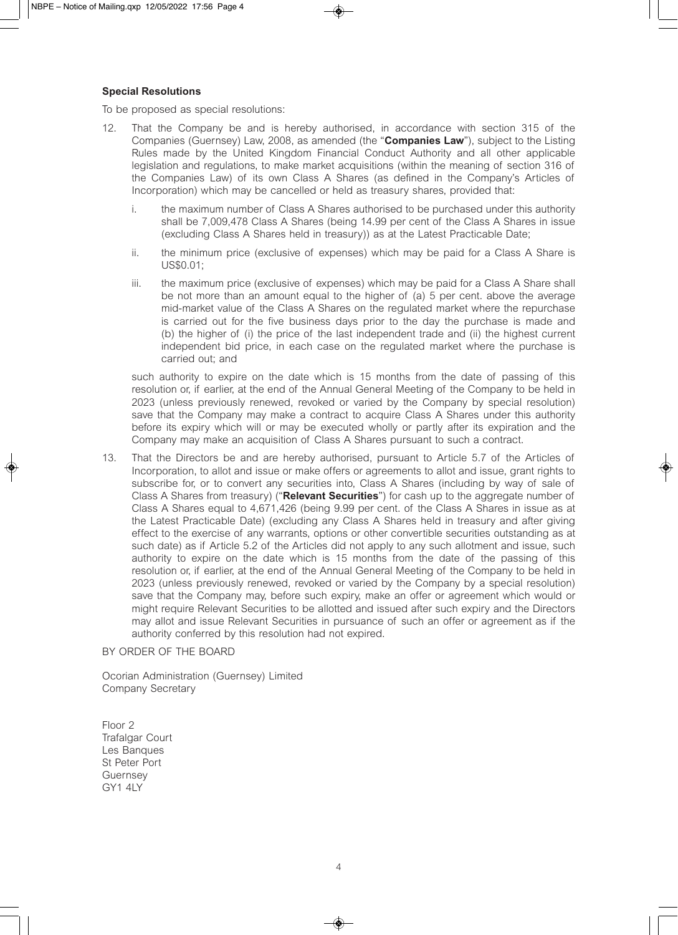#### **Special Resolutions**

To be proposed as special resolutions:

- 12. That the Company be and is hereby authorised, in accordance with section 315 of the Companies (Guernsey) Law, 2008, as amended (the "**Companies Law**"), subject to the Listing Rules made by the United Kingdom Financial Conduct Authority and all other applicable legislation and regulations, to make market acquisitions (within the meaning of section 316 of the Companies Law) of its own Class A Shares (as defined in the Company's Articles of Incorporation) which may be cancelled or held as treasury shares, provided that:
	- i. the maximum number of Class A Shares authorised to be purchased under this authority shall be 7,009,478 Class A Shares (being 14.99 per cent of the Class A Shares in issue (excluding Class A Shares held in treasury)) as at the Latest Practicable Date;
	- ii. the minimum price (exclusive of expenses) which may be paid for a Class A Share is US\$0.01;
	- iii. the maximum price (exclusive of expenses) which may be paid for a Class A Share shall be not more than an amount equal to the higher of (a) 5 per cent. above the average mid-market value of the Class A Shares on the regulated market where the repurchase is carried out for the five business days prior to the day the purchase is made and (b) the higher of (i) the price of the last independent trade and (ii) the highest current independent bid price, in each case on the regulated market where the purchase is carried out; and

such authority to expire on the date which is 15 months from the date of passing of this resolution or, if earlier, at the end of the Annual General Meeting of the Company to be held in 2023 (unless previously renewed, revoked or varied by the Company by special resolution) save that the Company may make a contract to acquire Class A Shares under this authority before its expiry which will or may be executed wholly or partly after its expiration and the Company may make an acquisition of Class A Shares pursuant to such a contract.

13. That the Directors be and are hereby authorised, pursuant to Article 5.7 of the Articles of Incorporation, to allot and issue or make offers or agreements to allot and issue, grant rights to subscribe for, or to convert any securities into, Class A Shares (including by way of sale of Class A Shares from treasury) ("**Relevant Securities**") for cash up to the aggregate number of Class A Shares equal to 4,671,426 (being 9.99 per cent. of the Class A Shares in issue as at the Latest Practicable Date) (excluding any Class A Shares held in treasury and after giving effect to the exercise of any warrants, options or other convertible securities outstanding as at such date) as if Article 5.2 of the Articles did not apply to any such allotment and issue, such authority to expire on the date which is 15 months from the date of the passing of this resolution or, if earlier, at the end of the Annual General Meeting of the Company to be held in 2023 (unless previously renewed, revoked or varied by the Company by a special resolution) save that the Company may, before such expiry, make an offer or agreement which would or might require Relevant Securities to be allotted and issued after such expiry and the Directors may allot and issue Relevant Securities in pursuance of such an offer or agreement as if the authority conferred by this resolution had not expired.

#### BY ORDER OF THE BOARD

Ocorian Administration (Guernsey) Limited Company Secretary

Floor 2 Trafalgar Court Les Banques St Peter Port Guernsey GY1 4LY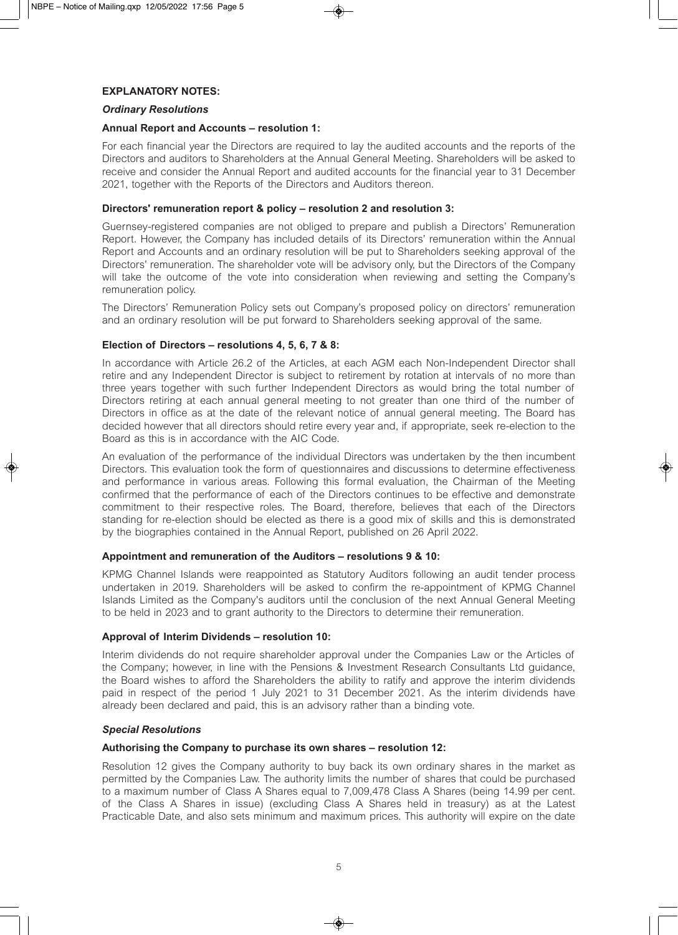#### **EXPLANATORY NOTES:**

#### *Ordinary Resolutions*

#### **Annual Report and Accounts – resolution 1:**

For each financial year the Directors are required to lay the audited accounts and the reports of the Directors and auditors to Shareholders at the Annual General Meeting. Shareholders will be asked to receive and consider the Annual Report and audited accounts for the financial year to 31 December 2021, together with the Reports of the Directors and Auditors thereon.

#### **Directors' remuneration report & policy – resolution 2 and resolution 3:**

Guernsey-registered companies are not obliged to prepare and publish a Directors' Remuneration Report. However, the Company has included details of its Directors' remuneration within the Annual Report and Accounts and an ordinary resolution will be put to Shareholders seeking approval of the Directors' remuneration. The shareholder vote will be advisory only, but the Directors of the Company will take the outcome of the vote into consideration when reviewing and setting the Company's remuneration policy.

The Directors' Remuneration Policy sets out Company's proposed policy on directors' remuneration and an ordinary resolution will be put forward to Shareholders seeking approval of the same.

#### **Election of Directors – resolutions 4, 5, 6, 7 & 8:**

In accordance with Article 26.2 of the Articles, at each AGM each Non-Independent Director shall retire and any Independent Director is subject to retirement by rotation at intervals of no more than three years together with such further Independent Directors as would bring the total number of Directors retiring at each annual general meeting to not greater than one third of the number of Directors in office as at the date of the relevant notice of annual general meeting. The Board has decided however that all directors should retire every year and, if appropriate, seek re-election to the Board as this is in accordance with the AIC Code.

An evaluation of the performance of the individual Directors was undertaken by the then incumbent Directors. This evaluation took the form of questionnaires and discussions to determine effectiveness and performance in various areas. Following this formal evaluation, the Chairman of the Meeting confirmed that the performance of each of the Directors continues to be effective and demonstrate commitment to their respective roles. The Board, therefore, believes that each of the Directors standing for re-election should be elected as there is a good mix of skills and this is demonstrated by the biographies contained in the Annual Report, published on 26 April 2022.

#### **Appointment and remuneration of the Auditors – resolutions 9 & 10:**

KPMG Channel Islands were reappointed as Statutory Auditors following an audit tender process undertaken in 2019. Shareholders will be asked to confirm the re-appointment of KPMG Channel Islands Limited as the Company's auditors until the conclusion of the next Annual General Meeting to be held in 2023 and to grant authority to the Directors to determine their remuneration.

#### **Approval of Interim Dividends – resolution 10:**

Interim dividends do not require shareholder approval under the Companies Law or the Articles of the Company; however, in line with the Pensions & Investment Research Consultants Ltd guidance, the Board wishes to afford the Shareholders the ability to ratify and approve the interim dividends paid in respect of the period 1 July 2021 to 31 December 2021. As the interim dividends have already been declared and paid, this is an advisory rather than a binding vote.

#### *Special Resolutions*

#### **Authorising the Company to purchase its own shares – resolution 12:**

Resolution 12 gives the Company authority to buy back its own ordinary shares in the market as permitted by the Companies Law. The authority limits the number of shares that could be purchased to a maximum number of Class A Shares equal to 7,009,478 Class A Shares (being 14.99 per cent. of the Class A Shares in issue) (excluding Class A Shares held in treasury) as at the Latest Practicable Date, and also sets minimum and maximum prices. This authority will expire on the date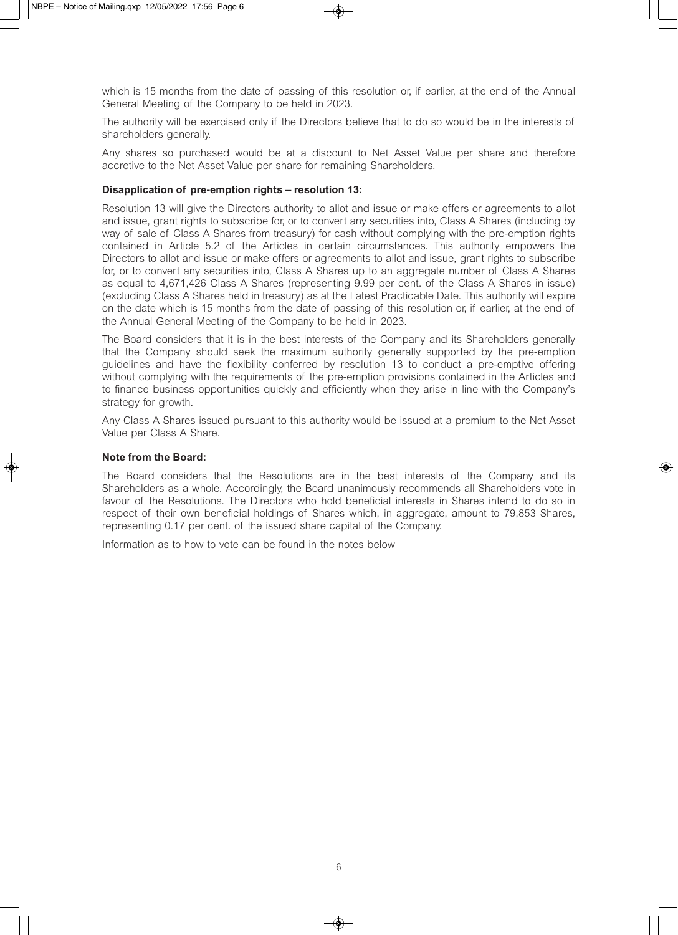which is 15 months from the date of passing of this resolution or, if earlier, at the end of the Annual General Meeting of the Company to be held in 2023.

The authority will be exercised only if the Directors believe that to do so would be in the interests of shareholders generally.

Any shares so purchased would be at a discount to Net Asset Value per share and therefore accretive to the Net Asset Value per share for remaining Shareholders.

#### **Disapplication of pre-emption rights – resolution 13:**

Resolution 13 will give the Directors authority to allot and issue or make offers or agreements to allot and issue, grant rights to subscribe for, or to convert any securities into, Class A Shares (including by way of sale of Class A Shares from treasury) for cash without complying with the pre-emption rights contained in Article 5.2 of the Articles in certain circumstances. This authority empowers the Directors to allot and issue or make offers or agreements to allot and issue, grant rights to subscribe for, or to convert any securities into, Class A Shares up to an aggregate number of Class A Shares as equal to 4,671,426 Class A Shares (representing 9.99 per cent. of the Class A Shares in issue) (excluding Class A Shares held in treasury) as at the Latest Practicable Date. This authority will expire on the date which is 15 months from the date of passing of this resolution or, if earlier, at the end of the Annual General Meeting of the Company to be held in 2023.

The Board considers that it is in the best interests of the Company and its Shareholders generally that the Company should seek the maximum authority generally supported by the pre-emption guidelines and have the flexibility conferred by resolution 13 to conduct a pre-emptive offering without complying with the requirements of the pre-emption provisions contained in the Articles and to finance business opportunities quickly and efficiently when they arise in line with the Company's strategy for growth.

Any Class A Shares issued pursuant to this authority would be issued at a premium to the Net Asset Value per Class A Share.

#### **Note from the Board:**

The Board considers that the Resolutions are in the best interests of the Company and its Shareholders as a whole. Accordingly, the Board unanimously recommends all Shareholders vote in favour of the Resolutions. The Directors who hold beneficial interests in Shares intend to do so in respect of their own beneficial holdings of Shares which, in aggregate, amount to 79,853 Shares, representing 0.17 per cent. of the issued share capital of the Company.

Information as to how to vote can be found in the notes below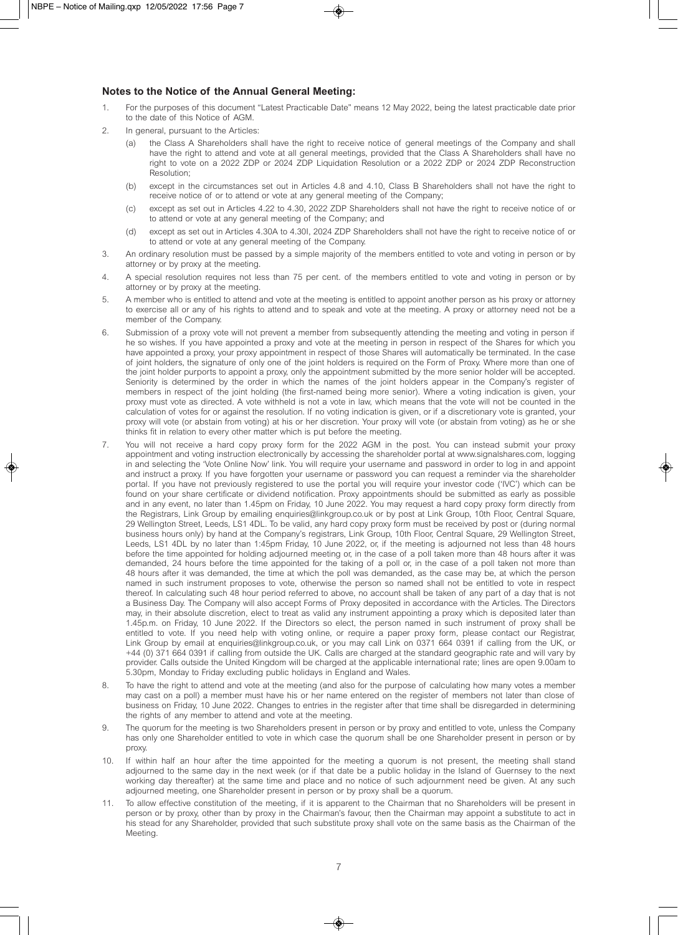#### **Notes to the Notice of the Annual General Meeting:**

- 1. For the purposes of this document "Latest Practicable Date" means 12 May 2022, being the latest practicable date prior to the date of this Notice of AGM.
- 2. In general, pursuant to the Articles:
	- (a) the Class A Shareholders shall have the right to receive notice of general meetings of the Company and shall have the right to attend and vote at all general meetings, provided that the Class A Shareholders shall have no right to vote on a 2022 ZDP or 2024 ZDP Liquidation Resolution or a 2022 ZDP or 2024 ZDP Reconstruction Resolution;
	- (b) except in the circumstances set out in Articles 4.8 and 4.10, Class B Shareholders shall not have the right to receive notice of or to attend or vote at any general meeting of the Company;
	- (c) except as set out in Articles 4.22 to 4.30, 2022 ZDP Shareholders shall not have the right to receive notice of or to attend or vote at any general meeting of the Company; and
	- (d) except as set out in Articles 4.30A to 4.30I, 2024 ZDP Shareholders shall not have the right to receive notice of or to attend or vote at any general meeting of the Company.
- 3. An ordinary resolution must be passed by a simple majority of the members entitled to vote and voting in person or by attorney or by proxy at the meeting.
- 4. A special resolution requires not less than 75 per cent. of the members entitled to vote and voting in person or by attorney or by proxy at the meeting.
- 5. A member who is entitled to attend and vote at the meeting is entitled to appoint another person as his proxy or attorney to exercise all or any of his rights to attend and to speak and vote at the meeting. A proxy or attorney need not be a member of the Company.
- 6. Submission of a proxy vote will not prevent a member from subsequently attending the meeting and voting in person if he so wishes. If you have appointed a proxy and vote at the meeting in person in respect of the Shares for which you have appointed a proxy, your proxy appointment in respect of those Shares will automatically be terminated. In the case of joint holders, the signature of only one of the joint holders is required on the Form of Proxy. Where more than one of the joint holder purports to appoint a proxy, only the appointment submitted by the more senior holder will be accepted. Seniority is determined by the order in which the names of the joint holders appear in the Company's register of members in respect of the joint holding (the first-named being more senior). Where a voting indication is given, your proxy must vote as directed. A vote withheld is not a vote in law, which means that the vote will not be counted in the calculation of votes for or against the resolution. If no voting indication is given, or if a discretionary vote is granted, your proxy will vote (or abstain from voting) at his or her discretion. Your proxy will vote (or abstain from voting) as he or she thinks fit in relation to every other matter which is put before the meeting.
- 7. You will not receive a hard copy proxy form for the 2022 AGM in the post. You can instead submit your proxy appointment and voting instruction electronically by accessing the shareholder portal at www.signalshares.com, logging in and selecting the 'Vote Online Now' link. You will require your username and password in order to log in and appoint and instruct a proxy. If you have forgotten your username or password you can request a reminder via the shareholder portal. If you have not previously registered to use the portal you will require your investor code ('IVC') which can be found on your share certificate or dividend notification. Proxy appointments should be submitted as early as possible and in any event, no later than 1.45pm on Friday, 10 June 2022. You may request a hard copy proxy form directly from the Registrars, Link Group by emailing enquiries@linkgroup.co.uk or by post at Link Group, 10th Floor, Central Square, 29 Wellington Street, Leeds, LS1 4DL. To be valid, any hard copy proxy form must be received by post or (during normal business hours only) by hand at the Company's registrars, Link Group, 10th Floor, Central Square, 29 Wellington Street, Leeds, LS1 4DL by no later than 1:45pm Friday, 10 June 2022, or, if the meeting is adjourned not less than 48 hours before the time appointed for holding adjourned meeting or, in the case of a poll taken more than 48 hours after it was demanded, 24 hours before the time appointed for the taking of a poll or, in the case of a poll taken not more than 48 hours after it was demanded, the time at which the poll was demanded, as the case may be, at which the person named in such instrument proposes to vote, otherwise the person so named shall not be entitled to vote in respect thereof. In calculating such 48 hour period referred to above, no account shall be taken of any part of a day that is not a Business Day. The Company will also accept Forms of Proxy deposited in accordance with the Articles. The Directors may, in their absolute discretion, elect to treat as valid any instrument appointing a proxy which is deposited later than 1.45p.m. on Friday, 10 June 2022. If the Directors so elect, the person named in such instrument of proxy shall be entitled to vote. If you need help with voting online, or require a paper proxy form, please contact our Registrar, Link Group by email at enquiries@linkgroup.co.uk, or you may call Link on 0371 664 0391 if calling from the UK, or +44 (0) 371 664 0391 if calling from outside the UK. Calls are charged at the standard geographic rate and will vary by provider. Calls outside the United Kingdom will be charged at the applicable international rate; lines are open 9.00am to 5.30pm, Monday to Friday excluding public holidays in England and Wales.
- 8. To have the right to attend and vote at the meeting (and also for the purpose of calculating how many votes a member may cast on a poll) a member must have his or her name entered on the register of members not later than close of business on Friday, 10 June 2022. Changes to entries in the register after that time shall be disregarded in determining the rights of any member to attend and vote at the meeting.
- 9. The quorum for the meeting is two Shareholders present in person or by proxy and entitled to vote, unless the Company has only one Shareholder entitled to vote in which case the quorum shall be one Shareholder present in person or by proxy.
- 10. If within half an hour after the time appointed for the meeting a quorum is not present, the meeting shall stand adjourned to the same day in the next week (or if that date be a public holiday in the Island of Guernsey to the next working day thereafter) at the same time and place and no notice of such adjournment need be given. At any such adjourned meeting, one Shareholder present in person or by proxy shall be a quorum.
- 11. To allow effective constitution of the meeting, if it is apparent to the Chairman that no Shareholders will be present in person or by proxy, other than by proxy in the Chairman's favour, then the Chairman may appoint a substitute to act in his stead for any Shareholder, provided that such substitute proxy shall vote on the same basis as the Chairman of the Meeting.